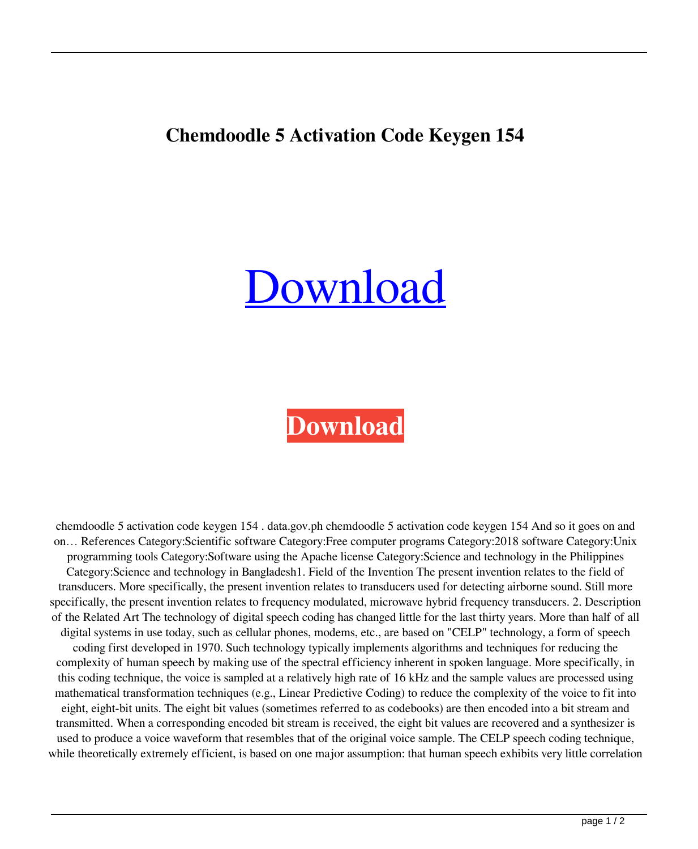## **Chemdoodle 5 Activation Code Keygen 154**

## [Download](http://evacdir.com/Y2hlbWRvb2RsZSA1IGFjdGl2YXRpb24gY29kZSBrZXlnZW4gMTU0Y2h/kolksteeg.nunhofer?batts=qualities.ZG93bmxvYWR8OEtZTW1GNE9YeDhNVFkxTWpjME1EZzJObng4TWpVM05IeDhLRTBwSUhKbFlXUXRZbXh2WnlCYlJtRnpkQ0JIUlU1ZA&remained=realtionship)

## **[Download](http://evacdir.com/Y2hlbWRvb2RsZSA1IGFjdGl2YXRpb24gY29kZSBrZXlnZW4gMTU0Y2h/kolksteeg.nunhofer?batts=qualities.ZG93bmxvYWR8OEtZTW1GNE9YeDhNVFkxTWpjME1EZzJObng4TWpVM05IeDhLRTBwSUhKbFlXUXRZbXh2WnlCYlJtRnpkQ0JIUlU1ZA&remained=realtionship)**

chemdoodle 5 activation code keygen 154 . data.gov.ph chemdoodle 5 activation code keygen 154 And so it goes on and on… References Category:Scientific software Category:Free computer programs Category:2018 software Category:Unix programming tools Category:Software using the Apache license Category:Science and technology in the Philippines Category:Science and technology in Bangladesh1. Field of the Invention The present invention relates to the field of transducers. More specifically, the present invention relates to transducers used for detecting airborne sound. Still more specifically, the present invention relates to frequency modulated, microwave hybrid frequency transducers. 2. Description of the Related Art The technology of digital speech coding has changed little for the last thirty years. More than half of all digital systems in use today, such as cellular phones, modems, etc., are based on "CELP" technology, a form of speech coding first developed in 1970. Such technology typically implements algorithms and techniques for reducing the complexity of human speech by making use of the spectral efficiency inherent in spoken language. More specifically, in this coding technique, the voice is sampled at a relatively high rate of 16 kHz and the sample values are processed using mathematical transformation techniques (e.g., Linear Predictive Coding) to reduce the complexity of the voice to fit into eight, eight-bit units. The eight bit values (sometimes referred to as codebooks) are then encoded into a bit stream and transmitted. When a corresponding encoded bit stream is received, the eight bit values are recovered and a synthesizer is used to produce a voice waveform that resembles that of the original voice sample. The CELP speech coding technique, while theoretically extremely efficient, is based on one major assumption: that human speech exhibits very little correlation